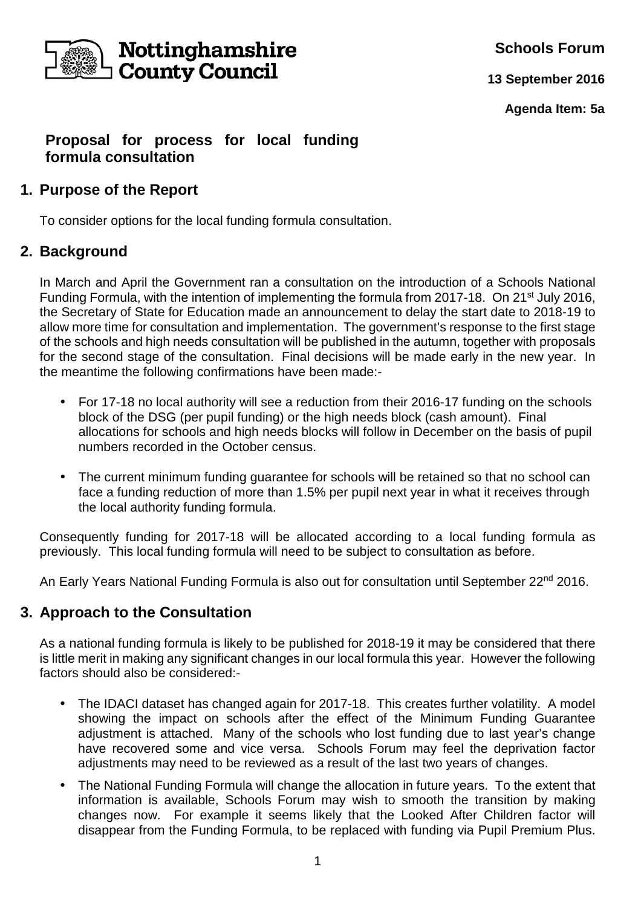

**Schools Forum**

**13 September 2016**

**Agenda Item: 5a**

## **Proposal for process for local funding formula consultation**

## **1. Purpose of the Report**

To consider options for the local funding formula consultation.

# **2. Background**

In March and April the Government ran a consultation on the introduction of a Schools National Funding Formula, with the intention of implementing the formula from 2017-18. On 21<sup>st</sup> July 2016, the Secretary of State for Education made an announcement to delay the start date to 2018-19 to allow more time for consultation and implementation. The government's response to the first stage of the schools and high needs consultation will be published in the autumn, together with proposals for the second stage of the consultation. Final decisions will be made early in the new year. In the meantime the following confirmations have been made:-

- For 17-18 no local authority will see a reduction from their 2016-17 funding on the schools block of the DSG (per pupil funding) or the high needs block (cash amount). Final allocations for schools and high needs blocks will follow in December on the basis of pupil numbers recorded in the October census.
- The current minimum funding quarantee for schools will be retained so that no school can face a funding reduction of more than 1.5% per pupil next year in what it receives through the local authority funding formula.

Consequently funding for 2017-18 will be allocated according to a local funding formula as previously. This local funding formula will need to be subject to consultation as before.

An Early Years National Funding Formula is also out for consultation until September 22<sup>nd</sup> 2016.

# **3. Approach to the Consultation**

As a national funding formula is likely to be published for 2018-19 it may be considered that there is little merit in making any significant changes in our local formula this year. However the following factors should also be considered:-

- The IDACI dataset has changed again for 2017-18. This creates further volatility. A model showing the impact on schools after the effect of the Minimum Funding Guarantee adjustment is attached. Many of the schools who lost funding due to last year's change have recovered some and vice versa. Schools Forum may feel the deprivation factor adjustments may need to be reviewed as a result of the last two years of changes.
- The National Funding Formula will change the allocation in future years. To the extent that information is available, Schools Forum may wish to smooth the transition by making changes now. For example it seems likely that the Looked After Children factor will disappear from the Funding Formula, to be replaced with funding via Pupil Premium Plus.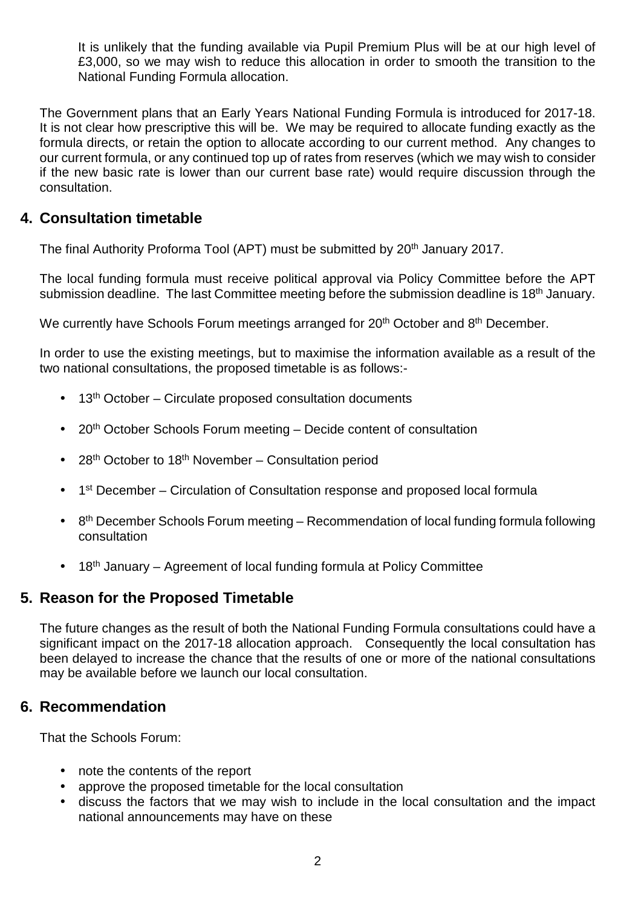It is unlikely that the funding available via Pupil Premium Plus will be at our high level of £3,000, so we may wish to reduce this allocation in order to smooth the transition to the National Funding Formula allocation.

The Government plans that an Early Years National Funding Formula is introduced for 2017-18. It is not clear how prescriptive this will be. We may be required to allocate funding exactly as the formula directs, or retain the option to allocate according to our current method. Any changes to our current formula, or any continued top up of rates from reserves (which we may wish to consider if the new basic rate is lower than our current base rate) would require discussion through the consultation.

## **4. Consultation timetable**

The final Authority Proforma Tool (APT) must be submitted by 20th January 2017.

The local funding formula must receive political approval via Policy Committee before the APT submission deadline. The last Committee meeting before the submission deadline is 18<sup>th</sup> January.

We currently have Schools Forum meetings arranged for 20<sup>th</sup> October and 8<sup>th</sup> December.

In order to use the existing meetings, but to maximise the information available as a result of the two national consultations, the proposed timetable is as follows:-

- $\bullet$  13<sup>th</sup> October Circulate proposed consultation documents
- 20<sup>th</sup> October Schools Forum meeting Decide content of consultation
- 28<sup>th</sup> October to 18<sup>th</sup> November Consultation period
- 1<sup>st</sup> December Circulation of Consultation response and proposed local formula
- $\bullet$  8<sup>th</sup> December Schools Forum meeting Recommendation of local funding formula following consultation
- 18<sup>th</sup> January Agreement of local funding formula at Policy Committee

#### **5. Reason for the Proposed Timetable**

The future changes as the result of both the National Funding Formula consultations could have a significant impact on the 2017-18 allocation approach. Consequently the local consultation has been delayed to increase the chance that the results of one or more of the national consultations may be available before we launch our local consultation.

#### **6. Recommendation**

That the Schools Forum:

- note the contents of the report
- approve the proposed timetable for the local consultation
- discuss the factors that we may wish to include in the local consultation and the impact national announcements may have on these